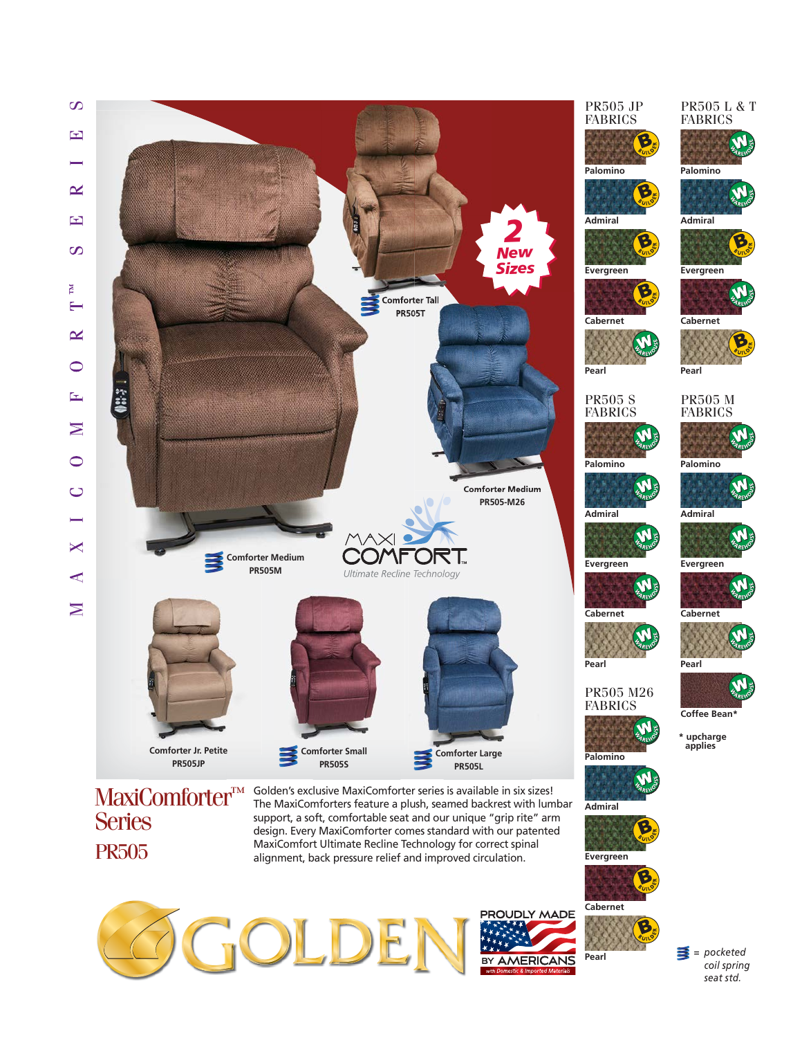





*= pocketed coil spring seat std.*